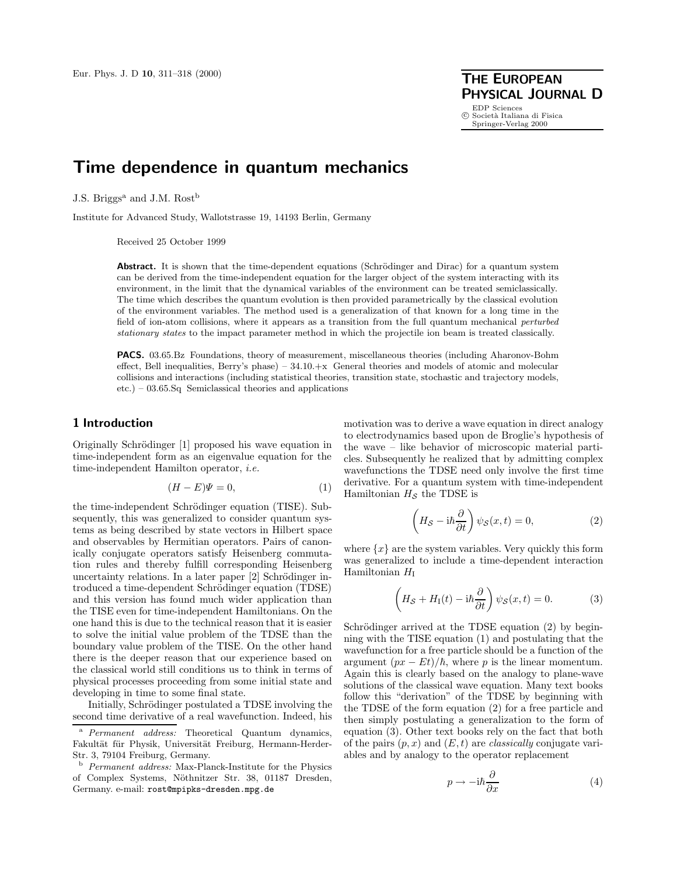**PHYSICAL JOURNAL D** EDP Sciences<br>© Società Italiana di Fisica Springer-Verlag 2000

# **Time dependence in quantum mechanics**

J.S. Briggs<sup>a</sup> and J.M. Rost<sup>b</sup>

Institute for Advanced Study, Wallotstrasse 19, 14193 Berlin, Germany

Received 25 October 1999

**Abstract.** It is shown that the time-dependent equations (Schrödinger and Dirac) for a quantum system can be derived from the time-independent equation for the larger object of the system interacting with its environment, in the limit that the dynamical variables of the environment can be treated semiclassically. The time which describes the quantum evolution is then provided parametrically by the classical evolution of the environment variables. The method used is a generalization of that known for a long time in the field of ion-atom collisions, where it appears as a transition from the full quantum mechanical perturbed stationary states to the impact parameter method in which the projectile ion beam is treated classically.

**PACS.** 03.65.Bz Foundations, theory of measurement, miscellaneous theories (including Aharonov-Bohm effect, Bell inequalities, Berry's phase) – 34.10.+x General theories and models of atomic and molecular collisions and interactions (including statistical theories, transition state, stochastic and trajectory models, etc.) – 03.65.Sq Semiclassical theories and applications

## **1 Introduction**

Originally Schrödinger [1] proposed his wave equation in time-independent form as an eigenvalue equation for the time-independent Hamilton operator, *i.e.*

$$
(H - E)\Psi = 0,\t\t(1)
$$

the time-independent Schrödinger equation (TISE). Subsequently, this was generalized to consider quantum systems as being described by state vectors in Hilbert space and observables by Hermitian operators. Pairs of canonically conjugate operators satisfy Heisenberg commutation rules and thereby fulfill corresponding Heisenberg uncertainty relations. In a later paper [2] Schrödinger introduced a time-dependent Schrödinger equation (TDSE) and this version has found much wider application than the TISE even for time-independent Hamiltonians. On the one hand this is due to the technical reason that it is easier to solve the initial value problem of the TDSE than the boundary value problem of the TISE. On the other hand there is the deeper reason that our experience based on the classical world still conditions us to think in terms of physical processes proceeding from some initial state and developing in time to some final state.

Initially, Schrödinger postulated a TDSE involving the second time derivative of a real wavefunction. Indeed, his

motivation was to derive a wave equation in direct analogy to electrodynamics based upon de Broglie's hypothesis of the wave – like behavior of microscopic material particles. Subsequently he realized that by admitting complex wavefunctions the TDSE need only involve the first time derivative. For a quantum system with time-independent Hamiltonian  $H_{\mathcal{S}}$  the TDSE is

$$
\left(H_{\mathcal{S}} - i\hbar \frac{\partial}{\partial t}\right)\psi_{\mathcal{S}}(x,t) = 0,\tag{2}
$$

where  $\{x\}$  are the system variables. Very quickly this form was generalized to include a time-dependent interaction Hamiltonian  $H_I$ 

$$
\left(H_{\mathcal{S}} + H_{\rm I}(t) - \mathrm{i}\hbar \frac{\partial}{\partial t}\right) \psi_{\mathcal{S}}(x, t) = 0. \tag{3}
$$

Schrödinger arrived at the TDSE equation  $(2)$  by beginning with the TISE equation (1) and postulating that the wavefunction for a free particle should be a function of the argument  $(px - Et)/\hbar$ , where p is the linear momentum. Again this is clearly based on the analogy to plane-wave solutions of the classical wave equation. Many text books follow this "derivation" of the TDSE by beginning with the TDSE of the form equation (2) for a free particle and then simply postulating a generalization to the form of equation (3). Other text books rely on the fact that both of the pairs  $(p, x)$  and  $(E, t)$  are *classically* conjugate variables and by analogy to the operator replacement

$$
p \to -\mathrm{i}\hbar \frac{\partial}{\partial x} \tag{4}
$$

<sup>&</sup>lt;sup>a</sup> Permanent address: Theoretical Quantum dynamics, Fakultät für Physik, Universität Freiburg, Hermann-Herder-Str. 3, 79104 Freiburg, Germany.

 $^{\rm b}$   $\it {Permanent}$   $address:$  Max-Planck-Institute for the Physics of Complex Systems, Nöthnitzer Str. 38, 01187 Dresden, Germany. e-mail: rost@mpipks-dresden.mpg.de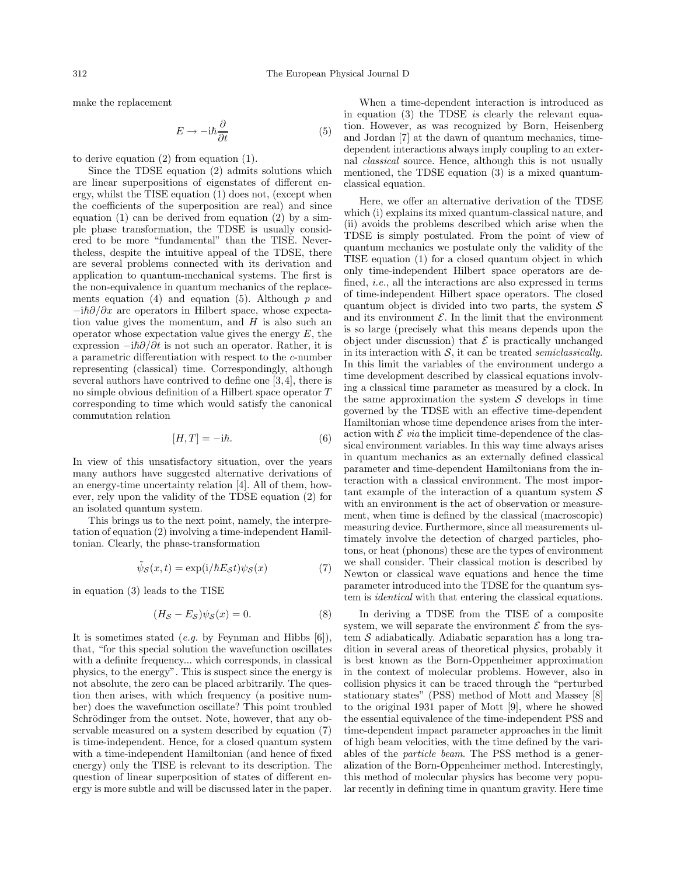make the replacement

$$
E \to -\mathrm{i}\hbar \frac{\partial}{\partial t} \tag{5}
$$

to derive equation (2) from equation (1).

Since the TDSE equation (2) admits solutions which are linear superpositions of eigenstates of different energy, whilst the TISE equation (1) does not, (except when the coefficients of the superposition are real) and since equation  $(1)$  can be derived from equation  $(2)$  by a simple phase transformation, the TDSE is usually considered to be more "fundamental" than the TISE. Nevertheless, despite the intuitive appeal of the TDSE, there are several problems connected with its derivation and application to quantum-mechanical systems. The first is the non-equivalence in quantum mechanics of the replacements equation (4) and equation (5). Although  $p$  and  $-i\hbar\partial/\partial x$  are operators in Hilbert space, whose expectation value gives the momentum, and  $H$  is also such an operator whose expectation value gives the energy  $E$ , the expression  $-i\hbar\partial/\partial t$  is not such an operator. Rather, it is a parametric differentiation with respect to the c-number representing (classical) time. Correspondingly, although several authors have contrived to define one [3,4], there is no simple obvious definition of a Hilbert space operator T corresponding to time which would satisfy the canonical commutation relation

$$
[H,T] = -i\hbar. \tag{6}
$$

In view of this unsatisfactory situation, over the years many authors have suggested alternative derivations of an energy-time uncertainty relation [4]. All of them, however, rely upon the validity of the TDSE equation (2) for an isolated quantum system.

This brings us to the next point, namely, the interpretation of equation (2) involving a time-independent Hamiltonian. Clearly, the phase-transformation

$$
\tilde{\psi}_{\mathcal{S}}(x,t) = \exp(i/\hbar E_{\mathcal{S}}t)\psi_{\mathcal{S}}(x) \tag{7}
$$

in equation (3) leads to the TISE

$$
(H_{\mathcal{S}} - E_{\mathcal{S}})\psi_{\mathcal{S}}(x) = 0. \tag{8}
$$

It is sometimes stated (*e.g.* by Feynman and Hibbs [6]), that, "for this special solution the wavefunction oscillates with a definite frequency... which corresponds, in classical physics, to the energy". This is suspect since the energy is not absolute, the zero can be placed arbitrarily. The question then arises, with which frequency (a positive number) does the wavefunction oscillate? This point troubled Schrödinger from the outset. Note, however, that any observable measured on a system described by equation (7) is time-independent. Hence, for a closed quantum system with a time-independent Hamiltonian (and hence of fixed energy) only the TISE is relevant to its description. The question of linear superposition of states of different energy is more subtle and will be discussed later in the paper.

When a time-dependent interaction is introduced as in equation (3) the TDSE *is* clearly the relevant equation. However, as was recognized by Born, Heisenberg and Jordan [7] at the dawn of quantum mechanics, timedependent interactions always imply coupling to an external *classical* source. Hence, although this is not usually mentioned, the TDSE equation (3) is a mixed quantumclassical equation.

Here, we offer an alternative derivation of the TDSE which (i) explains its mixed quantum-classical nature, and (ii) avoids the problems described which arise when the TDSE is simply postulated. From the point of view of quantum mechanics we postulate only the validity of the TISE equation (1) for a closed quantum object in which only time-independent Hilbert space operators are defined, *i.e.*, all the interactions are also expressed in terms of time-independent Hilbert space operators. The closed quantum object is divided into two parts, the system  $\mathcal S$ and its environment  $\mathcal E$ . In the limit that the environment is so large (precisely what this means depends upon the object under discussion) that  $\mathcal E$  is practically unchanged in its interaction with  $S$ , it can be treated *semiclassically*. In this limit the variables of the environment undergo a time development described by classical equations involving a classical time parameter as measured by a clock. In the same approximation the system  $S$  develops in time governed by the TDSE with an effective time-dependent Hamiltonian whose time dependence arises from the interaction with  $\mathcal E$  *via* the implicit time-dependence of the classical environment variables. In this way time always arises in quantum mechanics as an externally defined classical parameter and time-dependent Hamiltonians from the interaction with a classical environment. The most important example of the interaction of a quantum system  $\mathcal S$ with an environment is the act of observation or measurement, when time is defined by the classical (macroscopic) measuring device. Furthermore, since all measurements ultimately involve the detection of charged particles, photons, or heat (phonons) these are the types of environment we shall consider. Their classical motion is described by Newton or classical wave equations and hence the time parameter introduced into the TDSE for the quantum system is *identical* with that entering the classical equations.

In deriving a TDSE from the TISE of a composite system, we will separate the environment  $\mathcal E$  from the system  $S$  adiabatically. Adiabatic separation has a long tradition in several areas of theoretical physics, probably it is best known as the Born-Oppenheimer approximation in the context of molecular problems. However, also in collision physics it can be traced through the "perturbed stationary states" (PSS) method of Mott and Massey [8] to the original 1931 paper of Mott [9], where he showed the essential equivalence of the time-independent PSS and time-dependent impact parameter approaches in the limit of high beam velocities, with the time defined by the variables of the *particle beam*. The PSS method is a generalization of the Born-Oppenheimer method. Interestingly, this method of molecular physics has become very popular recently in defining time in quantum gravity. Here time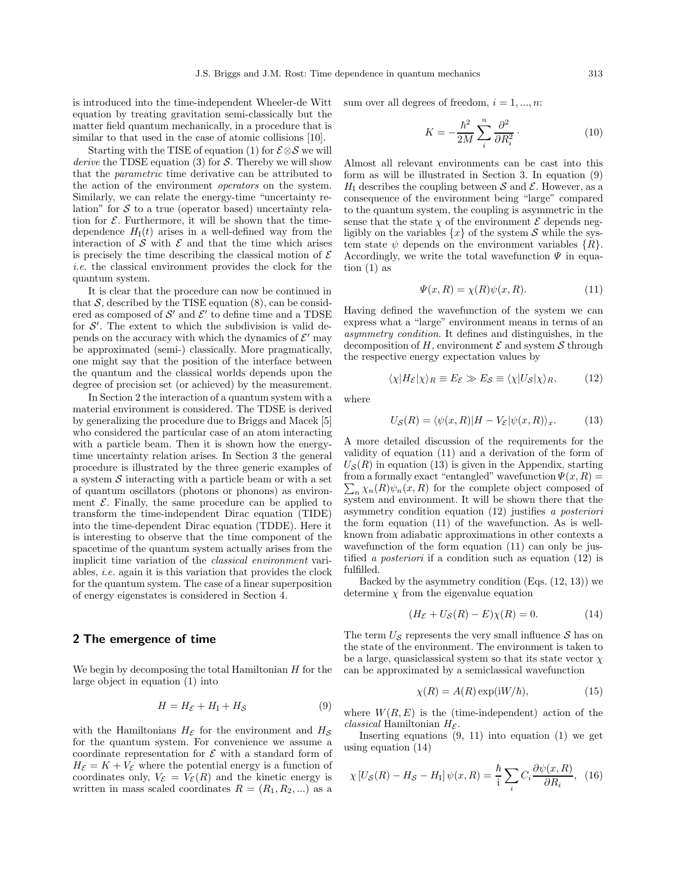is introduced into the time-independent Wheeler-de Witt equation by treating gravitation semi-classically but the matter field quantum mechanically, in a procedure that is similar to that used in the case of atomic collisions [10].

Starting with the TISE of equation (1) for  $\mathcal{E} \otimes \mathcal{S}$  we will *derive* the TDSE equation (3) for S. Thereby we will show that the *parametric* time derivative can be attributed to the action of the environment *operators* on the system. Similarly, we can relate the energy-time "uncertainty relation" for  $S$  to a true (operator based) uncertainty relation for  $\mathcal E$ . Furthermore, it will be shown that the timedependence  $H_I(t)$  arises in a well-defined way from the interaction of  $S$  with  $E$  and that the time which arises is precisely the time describing the classical motion of  $\mathcal E$ *i.e.* the classical environment provides the clock for the quantum system.

It is clear that the procedure can now be continued in that  $S$ , described by the TISE equation  $(8)$ , can be considered as composed of  $\mathcal{S}'$  and  $\mathcal{E}'$  to define time and a TDSE for  $\mathcal{S}'$ . The extent to which the subdivision is valid depends on the accuracy with which the dynamics of  $\mathcal{E}'$  may be approximated (semi-) classically. More pragmatically, one might say that the position of the interface between the quantum and the classical worlds depends upon the degree of precision set (or achieved) by the measurement.

In Section 2 the interaction of a quantum system with a material environment is considered. The TDSE is derived by generalizing the procedure due to Briggs and Macek [5] who considered the particular case of an atom interacting with a particle beam. Then it is shown how the energytime uncertainty relation arises. In Section 3 the general procedure is illustrated by the three generic examples of a system  $S$  interacting with a particle beam or with a set of quantum oscillators (photons or phonons) as environment  $\mathcal E$ . Finally, the same procedure can be applied to transform the time-independent Dirac equation (TIDE) into the time-dependent Dirac equation (TDDE). Here it is interesting to observe that the time component of the spacetime of the quantum system actually arises from the implicit time variation of the *classical environment* variables, *i.e.* again it is this variation that provides the clock for the quantum system. The case of a linear superposition of energy eigenstates is considered in Section 4.

## **2 The emergence of time**

We begin by decomposing the total Hamiltonian  $H$  for the large object in equation (1) into

$$
H = H_{\mathcal{E}} + H_{\mathcal{I}} + H_{\mathcal{S}} \tag{9}
$$

with the Hamiltonians  $H_{\mathcal{E}}$  for the environment and  $H_{\mathcal{S}}$ for the quantum system. For convenience we assume a coordinate representation for  $\mathcal E$  with a standard form of  $H_{\mathcal{E}} = K + V_{\mathcal{E}}$  where the potential energy is a function of coordinates only,  $V_{\mathcal{E}} = V_{\mathcal{E}}(R)$  and the kinetic energy is written in mass scaled coordinates  $R = (R_1, R_2, \ldots)$  as a

sum over all degrees of freedom,  $i = 1, ..., n$ :

$$
K = -\frac{\hbar^2}{2M} \sum_{i}^{n} \frac{\partial^2}{\partial R_i^2}.
$$
 (10)

Almost all relevant environments can be cast into this form as will be illustrated in Section 3. In equation (9)  $H<sub>I</sub>$  describes the coupling between S and E. However, as a consequence of the environment being "large" compared to the quantum system, the coupling is asymmetric in the sense that the state  $\chi$  of the environment  $\mathcal E$  depends negligibly on the variables  $\{x\}$  of the system S while the system state  $\psi$  depends on the environment variables  $\{R\}.$ Accordingly, we write the total wavefunction  $\Psi$  in equation  $(1)$  as

$$
\Psi(x,R) = \chi(R)\psi(x,R). \tag{11}
$$

Having defined the wavefunction of the system we can express what a "large" environment means in terms of an *asymmetry condition*. It defines and distinguishes, in the decomposition of H, environment  $\mathcal E$  and system  $\mathcal S$  through the respective energy expectation values by

$$
\langle \chi | H_{\mathcal{E}} | \chi \rangle_R \equiv E_{\mathcal{E}} \gg E_{\mathcal{S}} \equiv \langle \chi | U_{\mathcal{S}} | \chi \rangle_R, \tag{12}
$$

where

$$
U_{\mathcal{S}}(R) = \langle \psi(x, R) | H - V_{\mathcal{E}} | \psi(x, R) \rangle_x.
$$
 (13)

A more detailed discussion of the requirements for the validity of equation (11) and a derivation of the form of  $U_{\mathcal{S}}(R)$  in equation (13) is given in the Appendix, starting  $\sum_{n} \chi_n(R) \psi_n(x, R)$  for the complete object composed of from a formally exact "entangled" wavefunction  $\Psi(x, R) =$ system and environment. It will be shown there that the asymmetry condition equation (12) justifies *a posteriori* the form equation (11) of the wavefunction. As is wellknown from adiabatic approximations in other contexts a wavefunction of the form equation (11) can only be justified *a posteriori* if a condition such as equation (12) is fulfilled.

Backed by the asymmetry condition  $(Eqs. (12, 13))$  we determine  $\chi$  from the eigenvalue equation

$$
(H_{\mathcal{E}} + U_{\mathcal{S}}(R) - E)\chi(R) = 0.
$$
 (14)

The term  $U_{\mathcal{S}}$  represents the very small influence  $\mathcal{S}$  has on the state of the environment. The environment is taken to be a large, quasiclassical system so that its state vector  $\chi$ can be approximated by a semiclassical wavefunction

$$
\chi(R) = A(R) \exp(iW/\hbar), \tag{15}
$$

where  $W(R, E)$  is the (time-independent) action of the *classical* Hamiltonian  $H_{\mathcal{E}}$ .

Inserting equations  $(9, 11)$  into equation  $(1)$  we get using equation (14)

$$
\chi \left[ U_{\mathcal{S}}(R) - H_{\mathcal{S}} - H_{\mathcal{I}} \right] \psi(x, R) = \frac{\hbar}{i} \sum_{i} C_{i} \frac{\partial \psi(x, R)}{\partial R_{i}}, \quad (16)
$$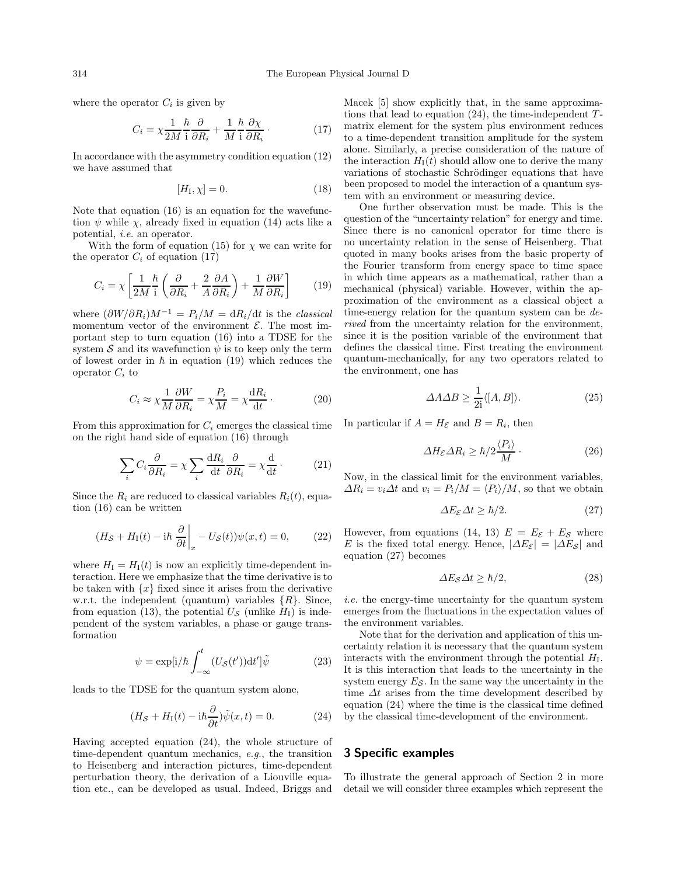where the operator  $C_i$  is given by

$$
C_i = \chi \frac{1}{2M} \frac{\hbar}{i} \frac{\partial}{\partial R_i} + \frac{1}{M} \frac{\hbar}{i} \frac{\partial \chi}{\partial R_i} \,. \tag{17}
$$

In accordance with the asymmetry condition equation (12) we have assumed that

$$
[H_{\rm I}, \chi] = 0. \tag{18}
$$

Note that equation (16) is an equation for the wavefunction  $\psi$  while  $\chi$ , already fixed in equation (14) acts like a potential, *i.e.* an operator.

With the form of equation (15) for  $\chi$  we can write for the operator  $C_i$  of equation (17)

$$
C_i = \chi \left[ \frac{1}{2M} \frac{\hbar}{i} \left( \frac{\partial}{\partial R_i} + \frac{2}{A} \frac{\partial A}{\partial R_i} \right) + \frac{1}{M} \frac{\partial W}{\partial R_i} \right]
$$
(19)

where  $(\partial W/\partial R_i)M^{-1} = P_i/M = dR_i/dt$  is the *classical* momentum vector of the environment  $\mathcal{E}$ . The most important step to turn equation (16) into a TDSE for the system S and its wavefunction  $\psi$  is to keep only the term of lowest order in  $\hbar$  in equation (19) which reduces the operator  $C_i$  to

$$
C_i \approx \chi \frac{1}{M} \frac{\partial W}{\partial R_i} = \chi \frac{P_i}{M} = \chi \frac{dR_i}{dt} \,. \tag{20}
$$

From this approximation for  $C_i$  emerges the classical time on the right hand side of equation (16) through

$$
\sum_{i} C_{i} \frac{\partial}{\partial R_{i}} = \chi \sum_{i} \frac{dR_{i}}{dt} \frac{\partial}{\partial R_{i}} = \chi \frac{d}{dt}.
$$
 (21)

Since the  $R_i$  are reduced to classical variables  $R_i(t)$ , equation (16) can be written

$$
(H_{\mathcal{S}} + H_{\rm I}(t) - \mathrm{i} \hbar \left. \frac{\partial}{\partial t} \right|_{x} - U_{\mathcal{S}}(t)) \psi(x, t) = 0, \tag{22}
$$

where  $H_{\rm I} = H_{\rm I}(t)$  is now an explicitly time-dependent interaction. Here we emphasize that the time derivative is to be taken with  $\{x\}$  fixed since it arises from the derivative w.r.t. the independent (quantum) variables  $\{R\}$ . Since, from equation (13), the potential  $U_{\mathcal{S}}$  (unlike  $H_{\rm I}$ ) is independent of the system variables, a phase or gauge transformation

$$
\psi = \exp[i/\hbar \int_{-\infty}^{t} (U_{\mathcal{S}}(t'))dt']\tilde{\psi}
$$
 (23)

leads to the TDSE for the quantum system alone,

$$
(H_{\mathcal{S}} + H_{\rm I}(t) - \mathrm{i}\hbar \frac{\partial}{\partial t})\tilde{\psi}(x, t) = 0. \tag{24}
$$

Having accepted equation (24), the whole structure of time-dependent quantum mechanics, *e.g.*, the transition to Heisenberg and interaction pictures, time-dependent perturbation theory, the derivation of a Liouville equation etc., can be developed as usual. Indeed, Briggs and

Macek [5] show explicitly that, in the same approximations that lead to equation  $(24)$ , the time-independent  $T$ matrix element for the system plus environment reduces to a time-dependent transition amplitude for the system alone. Similarly, a precise consideration of the nature of the interaction  $H_1(t)$  should allow one to derive the many variations of stochastic Schrödinger equations that have been proposed to model the interaction of a quantum system with an environment or measuring device.

One further observation must be made. This is the question of the "uncertainty relation" for energy and time. Since there is no canonical operator for time there is no uncertainty relation in the sense of Heisenberg. That quoted in many books arises from the basic property of the Fourier transform from energy space to time space in which time appears as a mathematical, rather than a mechanical (physical) variable. However, within the approximation of the environment as a classical object a time-energy relation for the quantum system can be *derived* from the uncertainty relation for the environment, since it is the position variable of the environment that defines the classical time. First treating the environment quantum-mechanically, for any two operators related to the environment, one has

$$
\Delta A \Delta B \ge \frac{1}{2i} \langle [A, B] \rangle. \tag{25}
$$

In particular if  $A = H_{\mathcal{E}}$  and  $B = R_i$ , then

$$
\Delta H_{\mathcal{E}} \Delta R_i \ge \hbar/2 \frac{\langle P_i \rangle}{M} \,. \tag{26}
$$

Now, in the classical limit for the environment variables,  $\Delta R_i = v_i \Delta t$  and  $v_i = P_i/M = \langle P_i \rangle / M$ , so that we obtain

$$
\Delta E_{\mathcal{E}} \Delta t \ge \hbar/2. \tag{27}
$$

However, from equations (14, 13)  $E = E_{\mathcal{E}} + E_{\mathcal{S}}$  where E is the fixed total energy. Hence,  $|\Delta E_{\mathcal{E}}| = |\Delta E_{\mathcal{S}}|$  and equation (27) becomes

$$
\Delta E_{\mathcal{S}} \Delta t \ge \hbar/2,\tag{28}
$$

*i.e.* the energy-time uncertainty for the quantum system emerges from the fluctuations in the expectation values of the environment variables.

Note that for the derivation and application of this uncertainty relation it is necessary that the quantum system interacts with the environment through the potential  $H<sub>I</sub>$ . It is this interaction that leads to the uncertainty in the system energy  $E_{\mathcal{S}}$ . In the same way the uncertainty in the time  $\Delta t$  arises from the time development described by equation (24) where the time is the classical time defined by the classical time-development of the environment.

# **3 Specific examples**

To illustrate the general approach of Section 2 in more detail we will consider three examples which represent the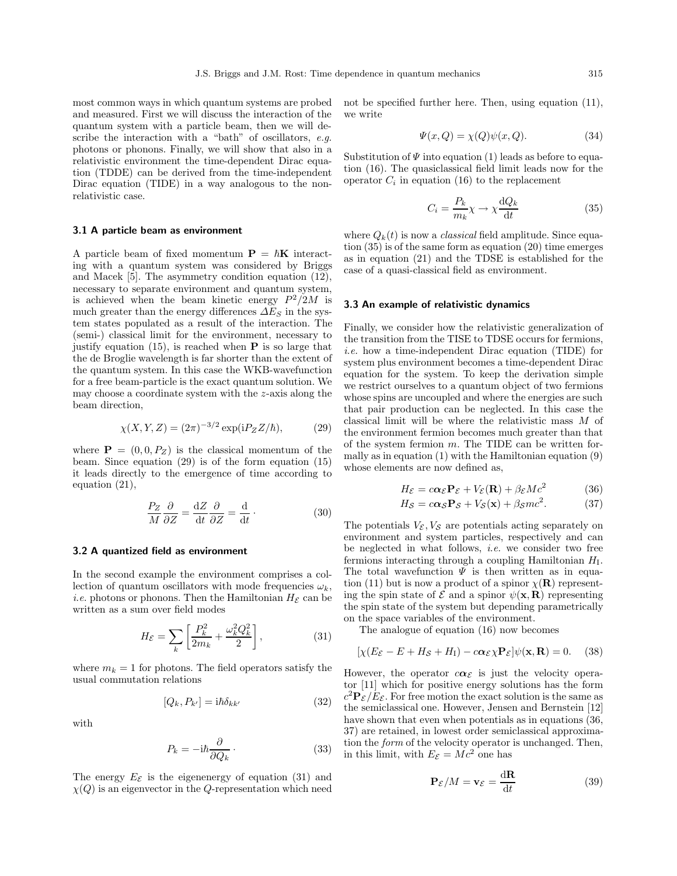most common ways in which quantum systems are probed and measured. First we will discuss the interaction of the quantum system with a particle beam, then we will describe the interaction with a "bath" of oscillators, *e.g.* photons or phonons. Finally, we will show that also in a relativistic environment the time-dependent Dirac equation (TDDE) can be derived from the time-independent Dirac equation (TIDE) in a way analogous to the nonrelativistic case.

#### **3.1 A particle beam as environment**

A particle beam of fixed momentum  $P = \hbar K$  interacting with a quantum system was considered by Briggs and Macek [5]. The asymmetry condition equation (12), necessary to separate environment and quantum system, is achieved when the beam kinetic energy  $P^2/2M$  is much greater than the energy differences  $\Delta E_S$  in the system states populated as a result of the interaction. The (semi-) classical limit for the environment, necessary to justify equation (15), is reached when **P** is so large that the de Broglie wavelength is far shorter than the extent of the quantum system. In this case the WKB-wavefunction for a free beam-particle is the exact quantum solution. We may choose a coordinate system with the z-axis along the beam direction,

$$
\chi(X, Y, Z) = (2\pi)^{-3/2} \exp(iP_Z Z/\hbar), \tag{29}
$$

where  $P = (0, 0, P_Z)$  is the classical momentum of the beam. Since equation (29) is of the form equation (15) it leads directly to the emergence of time according to equation (21),

$$
\frac{P_Z}{M}\frac{\partial}{\partial Z} = \frac{\mathrm{d}Z}{\mathrm{d}t}\frac{\partial}{\partial Z} = \frac{\mathrm{d}}{\mathrm{d}t}.
$$
 (30)

#### **3.2 A quantized field as environment**

In the second example the environment comprises a collection of quantum oscillators with mode frequencies  $\omega_k$ , *i.e.* photons or phonons. Then the Hamiltonian  $H_{\mathcal{E}}$  can be written as a sum over field modes

$$
H_{\mathcal{E}} = \sum_{k} \left[ \frac{P_k^2}{2m_k} + \frac{\omega_k^2 Q_k^2}{2} \right],\tag{31}
$$

where  $m_k = 1$  for photons. The field operators satisfy the usual commutation relations

$$
[Q_k, P_{k'}] = i\hbar \delta_{kk'} \tag{32}
$$

with

$$
P_k = -i\hbar \frac{\partial}{\partial Q_k} \,. \tag{33}
$$

The energy  $E_{\mathcal{E}}$  is the eigenenergy of equation (31) and  $\chi(Q)$  is an eigenvector in the Q-representation which need not be specified further here. Then, using equation (11), we write

$$
\Psi(x,Q) = \chi(Q)\psi(x,Q). \tag{34}
$$

Substitution of  $\Psi$  into equation (1) leads as before to equation (16). The quasiclassical field limit leads now for the operator  $C_i$  in equation (16) to the replacement

$$
C_i = \frac{P_k}{m_k} \chi \to \chi \frac{\mathrm{d}Q_k}{\mathrm{d}t} \tag{35}
$$

where  $Q_k(t)$  is now a *classical* field amplitude. Since equation (35) is of the same form as equation (20) time emerges as in equation (21) and the TDSE is established for the case of a quasi-classical field as environment.

#### **3.3 An example of relativistic dynamics**

Finally, we consider how the relativistic generalization of the transition from the TISE to TDSE occurs for fermions, *i.e.* how a time-independent Dirac equation (TIDE) for system plus environment becomes a time-dependent Dirac equation for the system. To keep the derivation simple we restrict ourselves to a quantum object of two fermions whose spins are uncoupled and where the energies are such that pair production can be neglected. In this case the classical limit will be where the relativistic mass M of the environment fermion becomes much greater than that of the system fermion  $m$ . The TIDE can be written formally as in equation (1) with the Hamiltonian equation (9) whose elements are now defined as,

$$
H_{\mathcal{E}} = c\alpha_{\mathcal{E}} \mathbf{P}_{\mathcal{E}} + V_{\mathcal{E}}(\mathbf{R}) + \beta_{\mathcal{E}} Mc^2 \tag{36}
$$

$$
H_{\mathcal{S}} = c\alpha_{\mathcal{S}} \mathbf{P}_{\mathcal{S}} + V_{\mathcal{S}}(\mathbf{x}) + \beta_{\mathcal{S}} mc^2.
$$
 (37)

The potentials  $V_{\mathcal{E}}$ ,  $V_{\mathcal{S}}$  are potentials acting separately on environment and system particles, respectively and can be neglected in what follows, *i.e.* we consider two free fermions interacting through a coupling Hamiltonian  $H<sub>I</sub>$ . The total wavefunction  $\Psi$  is then written as in equation (11) but is now a product of a spinor  $\chi(\mathbf{R})$  representing the spin state of  $\mathcal{E}$  and a spinor  $\psi(\mathbf{x}, \mathbf{R})$  representing the spin state of the system but depending parametrically on the space variables of the environment.

The analogue of equation (16) now becomes

$$
[\chi(E_{\mathcal{E}} - E + H_{\mathcal{S}} + H_{\mathcal{I}}) - c\alpha_{\mathcal{E}}\chi \mathbf{P}_{\mathcal{E}}]\psi(\mathbf{x}, \mathbf{R}) = 0. \quad (38)
$$

However, the operator  $c\alpha_{\mathcal{E}}$  is just the velocity operator [11] which for positive energy solutions has the form  $c^2$ **P**<sub> $\mathcal{E}/E_{\mathcal{E}}$ . For free motion the exact solution is the same as</sub> the semiclassical one. However, Jensen and Bernstein [12] have shown that even when potentials as in equations (36, 37) are retained, in lowest order semiclassical approximation the *form* of the velocity operator is unchanged. Then, in this limit, with  $E_{\mathcal{E}} = M c^2$  one has

$$
\mathbf{P}_{\mathcal{E}}/M = \mathbf{v}_{\mathcal{E}} = \frac{\mathrm{d}\mathbf{R}}{\mathrm{d}t} \tag{39}
$$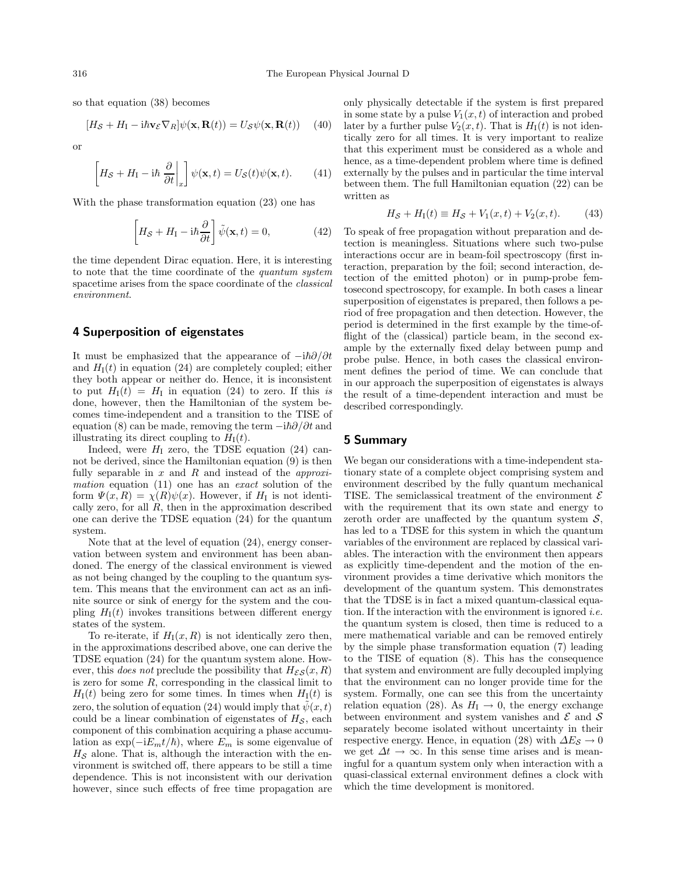so that equation (38) becomes

$$
[H_{\mathcal{S}} + H_{\mathrm{I}} - \mathrm{i} \hbar \mathbf{v}_{\mathcal{E}} \nabla_R] \psi(\mathbf{x}, \mathbf{R}(t)) = U_{\mathcal{S}} \psi(\mathbf{x}, \mathbf{R}(t)) \quad (40)
$$

or

$$
\left[ H_{\mathcal{S}} + H_{\mathcal{I}} - \mathrm{i} \hbar \frac{\partial}{\partial t} \bigg|_{x} \right] \psi(\mathbf{x}, t) = U_{\mathcal{S}}(t) \psi(\mathbf{x}, t). \tag{41}
$$

With the phase transformation equation (23) one has

$$
\left[H_{\mathcal{S}} + H_{\mathcal{I}} - \mathrm{i}\hbar \frac{\partial}{\partial t}\right] \tilde{\psi}(\mathbf{x}, t) = 0, \tag{42}
$$

the time dependent Dirac equation. Here, it is interesting to note that the time coordinate of the *quantum system* spacetime arises from the space coordinate of the *classical environment*.

#### **4 Superposition of eigenstates**

It must be emphasized that the appearance of  $-i\hbar\partial/\partial t$ and  $H_1(t)$  in equation (24) are completely coupled; either they both appear or neither do. Hence, it is inconsistent to put  $H_1(t) = H_1$  in equation (24) to zero. If this *is* done, however, then the Hamiltonian of the system becomes time-independent and a transition to the TISE of equation (8) can be made, removing the term  $-i\hbar\partial/\partial t$  and illustrating its direct coupling to  $H_I(t)$ .

Indeed, were  $H<sub>I</sub>$  zero, the TDSE equation (24) cannot be derived, since the Hamiltonian equation (9) is then fully separable in x and R and instead of the *approximation* equation (11) one has an *exact* solution of the form  $\Psi(x, R) = \chi(R)\psi(x)$ . However, if  $H<sub>I</sub>$  is not identically zero, for all  $R$ , then in the approximation described one can derive the TDSE equation (24) for the quantum system.

Note that at the level of equation (24), energy conservation between system and environment has been abandoned. The energy of the classical environment is viewed as not being changed by the coupling to the quantum system. This means that the environment can act as an infinite source or sink of energy for the system and the coupling  $H_1(t)$  invokes transitions between different energy states of the system.

To re-iterate, if  $H_1(x, R)$  is not identically zero then, in the approximations described above, one can derive the TDSE equation (24) for the quantum system alone. However, this *does not* preclude the possibility that  $H_{\mathcal{E}S}(x, R)$ is zero for some  $R$ , corresponding in the classical limit to  $H<sub>I</sub>(t)$  being zero for some times. In times when  $H<sub>I</sub>(t)$  is zero, the solution of equation (24) would imply that  $\psi(x, t)$ could be a linear combination of eigenstates of  $H<sub>S</sub>$ , each component of this combination acquiring a phase accumulation as  $\exp(-iE_m t/\hbar)$ , where  $E_m$  is some eigenvalue of  $H_{\mathcal{S}}$  alone. That is, although the interaction with the environment is switched off, there appears to be still a time dependence. This is not inconsistent with our derivation however, since such effects of free time propagation are

only physically detectable if the system is first prepared in some state by a pulse  $V_1(x,t)$  of interaction and probed later by a further pulse  $V_2(x,t)$ . That is  $H_1(t)$  is not identically zero for all times. It is very important to realize that this experiment must be considered as a whole and hence, as a time-dependent problem where time is defined externally by the pulses and in particular the time interval between them. The full Hamiltonian equation (22) can be written as

$$
H_{\mathcal{S}} + H_{\rm I}(t) \equiv H_{\mathcal{S}} + V_1(x, t) + V_2(x, t). \tag{43}
$$

To speak of free propagation without preparation and detection is meaningless. Situations where such two-pulse interactions occur are in beam-foil spectroscopy (first interaction, preparation by the foil; second interaction, detection of the emitted photon) or in pump-probe femtosecond spectroscopy, for example. In both cases a linear superposition of eigenstates is prepared, then follows a period of free propagation and then detection. However, the period is determined in the first example by the time-offlight of the (classical) particle beam, in the second example by the externally fixed delay between pump and probe pulse. Hence, in both cases the classical environment defines the period of time. We can conclude that in our approach the superposition of eigenstates is always the result of a time-dependent interaction and must be described correspondingly.

#### **5 Summary**

We began our considerations with a time-independent stationary state of a complete object comprising system and environment described by the fully quantum mechanical TISE. The semiclassical treatment of the environment  $\mathcal E$ with the requirement that its own state and energy to zeroth order are unaffected by the quantum system  $\mathcal{S}$ , has led to a TDSE for this system in which the quantum variables of the environment are replaced by classical variables. The interaction with the environment then appears as explicitly time-dependent and the motion of the environment provides a time derivative which monitors the development of the quantum system. This demonstrates that the TDSE is in fact a mixed quantum-classical equation. If the interaction with the environment is ignored *i.e.* the quantum system is closed, then time is reduced to a mere mathematical variable and can be removed entirely by the simple phase transformation equation (7) leading to the TISE of equation (8). This has the consequence that system and environment are fully decoupled implying that the environment can no longer provide time for the system. Formally, one can see this from the uncertainty relation equation (28). As  $H<sub>I</sub> \rightarrow 0$ , the energy exchange between environment and system vanishes and  $\mathcal E$  and  $\mathcal S$ separately become isolated without uncertainty in their respective energy. Hence, in equation (28) with  $\Delta E_{\mathcal{S}} \rightarrow 0$ we get  $\Delta t \rightarrow \infty$ . In this sense time arises and is meaningful for a quantum system only when interaction with a quasi-classical external environment defines a clock with which the time development is monitored.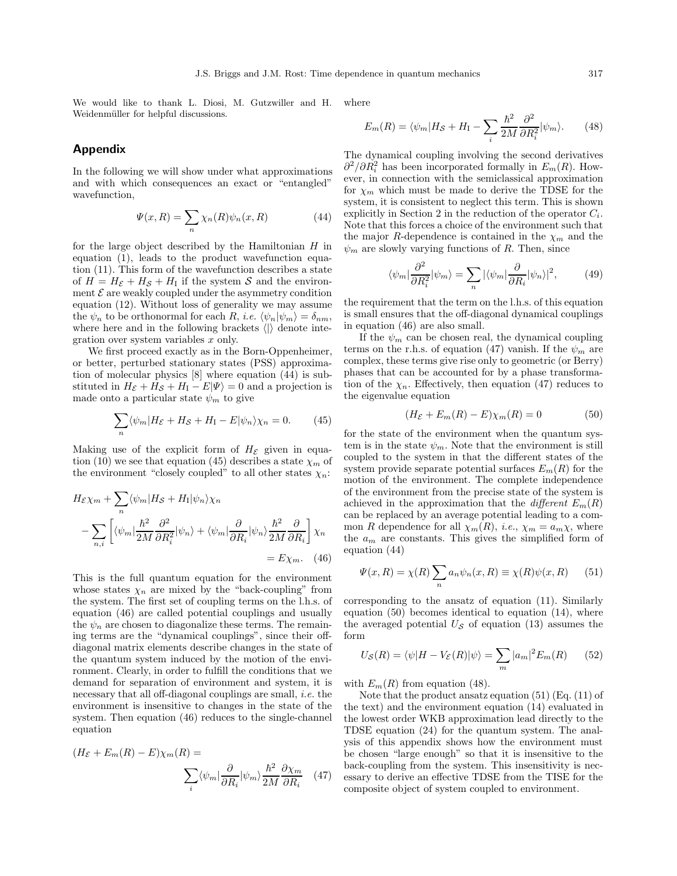We would like to thank L. Diosi, M. Gutzwiller and H. Weidenmüller for helpful discussions. where

### **Appendix**

In the following we will show under what approximations and with which consequences an exact or "entangled" wavefunction,

$$
\Psi(x,R) = \sum_{n} \chi_n(R)\psi_n(x,R) \tag{44}
$$

for the large object described by the Hamiltonian  $H$  in equation (1), leads to the product wavefunction equation (11). This form of the wavefunction describes a state of  $H = H_{\mathcal{E}} + H_{\mathcal{S}} + H_{\mathcal{I}}$  if the system S and the environment  $\mathcal E$  are weakly coupled under the asymmetry condition equation (12). Without loss of generality we may assume the  $\psi_n$  to be orthonormal for each R, *i.e.*  $\langle \psi_n | \psi_m \rangle = \delta_{nm}$ , where here and in the following brackets  $\langle \mathbf{r} \rangle$  denote integration over system variables x only.

We first proceed exactly as in the Born-Oppenheimer, or better, perturbed stationary states (PSS) approximation of molecular physics [8] where equation (44) is substituted in  $H_{\mathcal{E}} + H_{\mathcal{S}} + H_{\mathcal{I}} - E|\Psi\rangle = 0$  and a projection is made onto a particular state  $\psi_m$  to give

$$
\sum_{n} \langle \psi_m | H_{\mathcal{E}} + H_{\mathcal{S}} + H_{\mathcal{I}} - E | \psi_n \rangle \chi_n = 0. \tag{45}
$$

Making use of the explicit form of  $H_{\mathcal{E}}$  given in equation (10) we see that equation (45) describes a state  $\chi_m$  of the environment "closely coupled" to all other states  $\chi_n$ :

$$
H_{\mathcal{E}} \chi_m + \sum_n \langle \psi_m | H_{\mathcal{S}} + H_{\mathcal{I}} | \psi_n \rangle \chi_n
$$
  
- 
$$
\sum_{n,i} \left[ \langle \psi_m | \frac{\hbar^2}{2M} \frac{\partial^2}{\partial R_i^2} | \psi_n \rangle + \langle \psi_m | \frac{\partial}{\partial R_i} | \psi_n \rangle \frac{\hbar^2}{2M} \frac{\partial}{\partial R_i} \right] \chi_n
$$
  
=  $E \chi_m$ . (46)

This is the full quantum equation for the environment whose states  $\chi_n$  are mixed by the "back-coupling" from the system. The first set of coupling terms on the l.h.s. of equation (46) are called potential couplings and usually the  $\psi_n$  are chosen to diagonalize these terms. The remaining terms are the "dynamical couplings", since their offdiagonal matrix elements describe changes in the state of the quantum system induced by the motion of the environment. Clearly, in order to fulfill the conditions that we demand for separation of environment and system, it is necessary that all off-diagonal couplings are small, *i.e.* the environment is insensitive to changes in the state of the system. Then equation (46) reduces to the single-channel equation

$$
(H_{\mathcal{E}} + E_m(R) - E)\chi_m(R) = \sum_i \langle \psi_m | \frac{\partial}{\partial R_i} | \psi_m \rangle \frac{\hbar^2}{2M} \frac{\partial \chi_m}{\partial R_i} \quad (47)
$$

$$
E_m(R) = \langle \psi_m | H_S + H_I - \sum_i \frac{\hbar^2}{2M} \frac{\partial^2}{\partial R_i^2} | \psi_m \rangle. \tag{48}
$$

The dynamical coupling involving the second derivatives  $\partial^2/\partial R_i^2$  has been incorporated formally in  $E_m(R)$ . However, in connection with the semiclassical approximation for  $\chi_m$  which must be made to derive the TDSE for the system, it is consistent to neglect this term. This is shown explicitly in Section 2 in the reduction of the operator  $C_i$ . Note that this forces a choice of the environment such that the major R-dependence is contained in the  $\chi_m$  and the  $\psi_m$  are slowly varying functions of R. Then, since

$$
\langle \psi_m | \frac{\partial^2}{\partial R_i^2} | \psi_m \rangle = \sum_n |\langle \psi_m | \frac{\partial}{\partial R_i} | \psi_n \rangle|^2, \tag{49}
$$

the requirement that the term on the l.h.s. of this equation is small ensures that the off-diagonal dynamical couplings in equation (46) are also small.

If the  $\psi_m$  can be chosen real, the dynamical coupling terms on the r.h.s. of equation (47) vanish. If the  $\psi_m$  are complex, these terms give rise only to geometric (or Berry) phases that can be accounted for by a phase transformation of the  $\chi_n$ . Effectively, then equation (47) reduces to the eigenvalue equation

$$
(H_{\mathcal{E}} + E_m(R) - E)\chi_m(R) = 0
$$
\n(50)

for the state of the environment when the quantum system is in the state  $\psi_m$ . Note that the environment is still coupled to the system in that the different states of the system provide separate potential surfaces  $E_m(R)$  for the motion of the environment. The complete independence of the environment from the precise state of the system is achieved in the approximation that the *different*  $E_m(R)$ can be replaced by an average potential leading to a common R dependence for all  $\chi_m(R)$ , *i.e.*,  $\chi_m = a_m \chi$ , where the  $a_m$  are constants. This gives the simplified form of equation (44)

$$
\Psi(x,R) = \chi(R) \sum_{n} a_n \psi_n(x,R) \equiv \chi(R)\psi(x,R) \qquad (51)
$$

corresponding to the ansatz of equation (11). Similarly equation  $(50)$  becomes identical to equation  $(14)$ , where the averaged potential  $U_{\mathcal{S}}$  of equation (13) assumes the form

$$
U_{\mathcal{S}}(R) = \langle \psi | H - V_{\mathcal{E}}(R) | \psi \rangle = \sum_{m} |a_m|^2 E_m(R) \qquad (52)
$$

with  $E_m(R)$  from equation (48).

Note that the product ansatz equation (51) (Eq. (11) of the text) and the environment equation (14) evaluated in the lowest order WKB approximation lead directly to the TDSE equation (24) for the quantum system. The analysis of this appendix shows how the environment must be chosen "large enough" so that it is insensitive to the back-coupling from the system. This insensitivity is necessary to derive an effective TDSE from the TISE for the composite object of system coupled to environment.